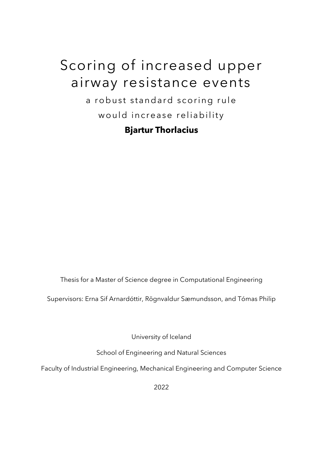# Scoring of increased upper airway resistance events

a robust standard scoring rule would increase reliability

### **Bjartur Thorlacius**

Thesis for a Master of Science degree in Computational Engineering

Supervisors: Erna Sif Arnardóttir, Rögnvaldur Sæmundsson, and Tómas Philip

University of Iceland

School of Engineering and Natural Sciences

Faculty of Industrial Engineering, Mechanical Engineering and Computer Science

2022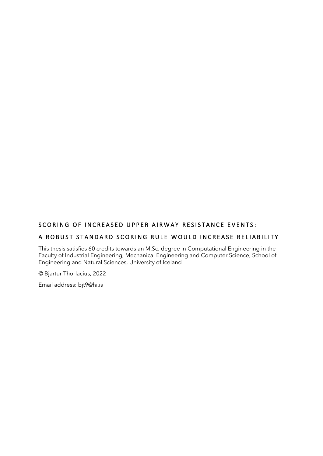#### SCORING OF INCREASED UPPER AIRWAY RESISTANCE EVENTS:

#### A ROBUST STANDARD SCORING RULE WOULD INCREASE RELIABILITY

This thesis satisfies 60 credits towards an M.Sc. degree in Computational Engineering in the Faculty of Industrial Engineering, Mechanical Engineering and Computer Science, School of Engineering and Natural Sciences, University of Iceland

© Bjartur Thorlacius, 2022

Email address: bjt9@hi.is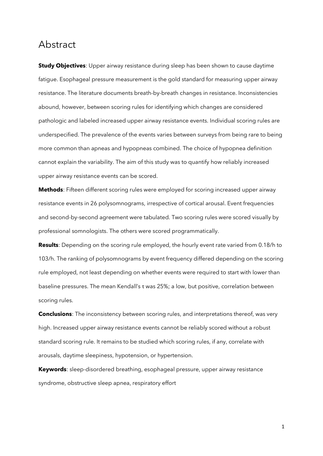### Abstract

**Study Objectives**: Upper airway resistance during sleep has been shown to cause daytime fatigue. Esophageal pressure measurement is the gold standard for measuring upper airway resistance. The literature documents breath-by-breath changes in resistance. Inconsistencies abound, however, between scoring rules for identifying which changes are considered pathologic and labeled increased upper airway resistance events. Individual scoring rules are underspecified. The prevalence of the events varies between surveys from being rare to being more common than apneas and hypopneas combined. The choice of hypopnea definition cannot explain the variability. The aim of this study was to quantify how reliably increased upper airway resistance events can be scored.

**Methods**: Fifteen different scoring rules were employed for scoring increased upper airway resistance events in 26 polysomnograms, irrespective of cortical arousal. Event frequencies and second-by-second agreement were tabulated. Two scoring rules were scored visually by professional somnologists. The others were scored programmatically.

**Results**: Depending on the scoring rule employed, the hourly event rate varied from 0.18/h to 103/h. The ranking of polysomnograms by event frequency differed depending on the scoring rule employed, not least depending on whether events were required to start with lower than baseline pressures. The mean Kendall's τ was 25%; a low, but positive, correlation between scoring rules.

**Conclusions**: The inconsistency between scoring rules, and interpretations thereof, was very high. Increased upper airway resistance events cannot be reliably scored without a robust standard scoring rule. It remains to be studied which scoring rules, if any, correlate with arousals, daytime sleepiness, hypotension, or hypertension.

**Keywords**: sleep-disordered breathing, esophageal pressure, upper airway resistance syndrome, obstructive sleep apnea, respiratory effort

1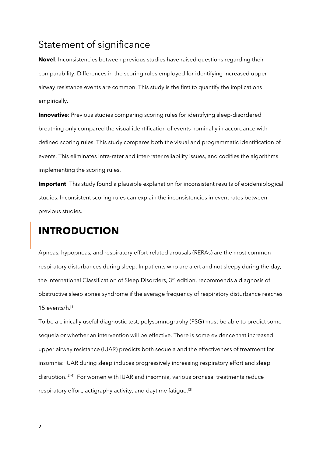### Statement of significance

**Novel**: Inconsistencies between previous studies have raised questions regarding their comparability. Differences in the scoring rules employed for identifying increased upper airway resistance events are common. This study is the first to quantify the implications empirically.

**Innovative**: Previous studies comparing scoring rules for identifying sleep-disordered breathing only compared the visual identification of events nominally in accordance with defined scoring rules. This study compares both the visual and programmatic identification of events. This eliminates intra-rater and inter-rater reliability issues, and codifies the algorithms implementing the scoring rules.

**Important**: This study found a plausible explanation for inconsistent results of epidemiological studies. Inconsistent scoring rules can explain the inconsistencies in event rates between previous studies.

# **INTRODUCTION**

Apneas, hypopneas, and respiratory effort-related arousals (RERAs) are the most common respiratory disturbances during sleep. In patients who are alert and not sleepy during the day, the International Classification of Sleep Disorders, 3<sup>rd</sup> edition, recommends a diagnosis of obstructive sleep apnea syndrome if the average frequency of respiratory disturbance reaches 15 events/h. [1]

To be a clinically useful diagnostic test, polysomnography (PSG) must be able to predict some sequela or whether an intervention will be effective. There is some evidence that increased upper airway resistance (IUAR) predicts both sequela and the effectiveness of treatment for insomnia: IUAR during sleep induces progressively increasing respiratory effort and sleep disruption. [2–4] For women with IUAR and insomnia, various oronasal treatments reduce respiratory effort, actigraphy activity, and daytime fatigue.<sup>[3]</sup>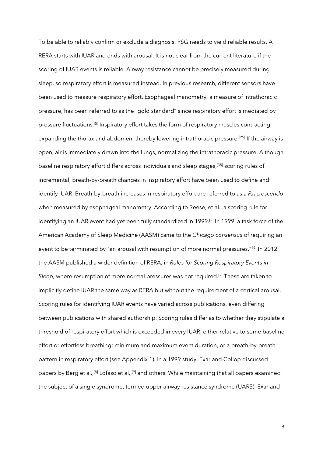To be able to reliably confirm or exclude a diagnosis, PSG needs to yield reliable results. A RERA starts with IUAR and ends with arousal. It is not clear from the current literature if the scoring of IUAR events is reliable. Airway resistance cannot be precisely measured during sleep, so respiratory effort is measured instead. In previous research, different sensors have been used to measure respiratory effort. Esophageal manometry, a measure of intrathoracic pressure, has been referred to as the "gold standard" since respiratory effort is mediated by pressure fluctuations.<sup>[5]</sup> Inspiratory effort takes the form of respiratory muscles contracting, expanding the thorax and abdomen, thereby lowering intrathoracic pressure.<sup>[25]</sup> If the airway is open, air is immediately drawn into the lungs, normalizing the intrathoracic pressure. Although baseline respiratory effort differs across individuals and sleep stages,<sup>[38]</sup> scoring rules of incremental, breath-by-breath changes in inspiratory effort have been used to define and identify IUAR. Breath-by-breath increases in respiratory effort are referred to as a *Pes crescendo* when measured by esophageal manometry. According to Reese, et al., a scoring rule for identifying an IUAR event had yet been fully standardized in 1999.[2] In 1999, a task force of the American Academy of Sleep Medicine (AASM) came to the *Chicago consensus* of requiring an event to be terminated by "an arousal with resumption of more normal pressures."<sup>[6]</sup> In 2012, the AASM published a wider definition of RERA, in *Rules for Scoring Respiratory Events in Sleep,* where resumption of more normal pressures was not required. [7] These are taken to implicitly define IUAR the same way as RERA but without the requirement of a cortical arousal. Scoring rules for identifying IUAR events have varied across publications, even differing between publications with shared authorship. Scoring rules differ as to whether they stipulate a threshold of respiratory effort which is exceeded in every IUAR, either relative to some baseline effort or effortless breathing; minimum and maximum event duration, or a breath-by-breath pattern in respiratory effort (see Appendix 1). In a 1999 study, Exar and Collop discussed papers by Berg et al.,<sup>[8]</sup> Lofaso et al.,<sup>[9]</sup> and others. While maintaining that all papers examined the subject of a single syndrome, termed upper airway resistance syndrome (UARS), Exar and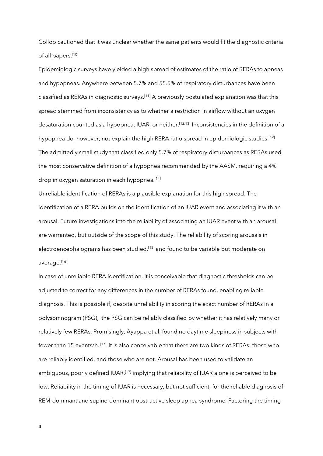Collop cautioned that it was unclear whether the same patients would fit the diagnostic criteria of all papers. [10]

Epidemiologic surveys have yielded a high spread of estimates of the ratio of RERAs to apneas and hypopneas. Anywhere between 5.7% and 55.5% of respiratory disturbances have been classified as RERAs in diagnostic surveys.<sup>[11]</sup> A previously postulated explanation was that this spread stemmed from inconsistency as to whether a restriction in airflow without an oxygen desaturation counted as a hypopnea, IUAR, or neither. [12,13] Inconsistencies in the definition of a hypopnea do, however, not explain the high RERA ratio spread in epidemiologic studies.<sup>[12]</sup> The admittedly small study that classified only 5.7% of respiratory disturbances as RERAs used the most conservative definition of a hypopnea recommended by the AASM, requiring a 4% drop in oxygen saturation in each hypopnea. [14]

Unreliable identification of RERAs is a plausible explanation for this high spread. The identification of a RERA builds on the identification of an IUAR event and associating it with an arousal. Future investigations into the reliability of associating an IUAR event with an arousal are warranted, but outside of the scope of this study. The reliability of scoring arousals in electroencephalograms has been studied, [15] and found to be variable but moderate on average.[16]

In case of unreliable RERA identification, it is conceivable that diagnostic thresholds can be adjusted to correct for any differences in the number of RERAs found, enabling reliable diagnosis. This is possible if, despite unreliability in scoring the exact number of RERAs in a polysomnogram (PSG), the PSG can be reliably classified by whether it has relatively many or relatively few RERAs. Promisingly, Ayappa et al. found no daytime sleepiness in subjects with fewer than 15 events/h. [17] It is also conceivable that there are two kinds of RERAs: those who are reliably identified, and those who are not. Arousal has been used to validate an ambiguous, poorly defined IUAR,<sup>[17]</sup> implying that reliability of IUAR alone is perceived to be low. Reliability in the timing of IUAR is necessary, but not sufficient, for the reliable diagnosis of REM-dominant and supine-dominant obstructive sleep apnea syndrome. Factoring the timing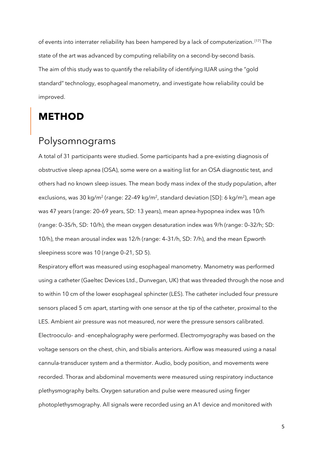of events into interrater reliability has been hampered by a lack of computerization.<sup>[17]</sup> The state of the art was advanced by computing reliability on a second-by-second basis. The aim of this study was to quantify the reliability of identifying IUAR using the "gold standard" technology, esophageal manometry, and investigate how reliability could be improved.

### **METHOD**

# Polysomnograms

A total of 31 participants were studied. Some participants had a pre-existing diagnosis of obstructive sleep apnea (OSA), some were on a waiting list for an OSA diagnostic test, and others had no known sleep issues. The mean body mass index of the study population, after exclusions, was 30 kg/m<sup>2</sup> (range: 22-49 kg/m<sup>2</sup>, standard deviation [SD]: 6 kg/m<sup>2</sup>), mean age was 47 years (range: 20–69 years, SD: 13 years), mean apnea-hypopnea index was 10/h (range: 0–35/h, SD: 10/h), the mean oxygen desaturation index was 9/h (range: 0–32/h; SD: 10/h), the mean arousal index was 12/h (range: 4–31/h, SD: 7/h), and the mean Epworth sleepiness score was 10 (range 0–21, SD 5).

Respiratory effort was measured using esophageal manometry. Manometry was performed using a catheter (Gaeltec Devices Ltd., Dunvegan, UK) that was threaded through the nose and to within 10 cm of the lower esophageal sphincter (LES). The catheter included four pressure sensors placed 5 cm apart, starting with one sensor at the tip of the catheter, proximal to the LES. Ambient air pressure was not measured, nor were the pressure sensors calibrated. Electrooculo- and -encephalography were performed. Electromyography was based on the voltage sensors on the chest, chin, and tibialis anteriors. Airflow was measured using a nasal cannula-transducer system and a thermistor. Audio, body position, and movements were recorded. Thorax and abdominal movements were measured using respiratory inductance plethysmography belts. Oxygen saturation and pulse were measured using finger photoplethysmography. All signals were recorded using an A1 device and monitored with

5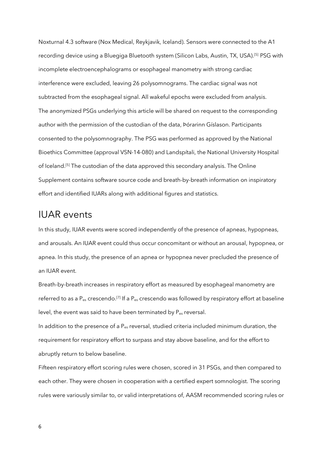Noxturnal 4.3 software (Nox Medical, Reykjavik, Iceland). Sensors were connected to the A1 recording device using a Bluegiga Bluetooth system (Silicon Labs, Austin, TX, USA).<sup>[5]</sup> PSG with incomplete electroencephalograms or esophageal manometry with strong cardiac interference were excluded, leaving 26 polysomnograms. The cardiac signal was not subtracted from the esophageal signal. All wakeful epochs were excluded from analysis. The anonymized PSGs underlying this article will be shared on request to the corresponding author with the permission of the custodian of the data, Þórarinn Gíslason. Participants consented to the polysomnography. The PSG was performed as approved by the National Bioethics Committee (approval VSN-14-080) and Landspítali, the National University Hospital of Iceland.<sup>[5]</sup> The custodian of the data approved this secondary analysis. The Online Supplement contains software source code and breath-by-breath information on inspiratory effort and identified IUARs along with additional figures and statistics.

### IUAR events

In this study, IUAR events were scored independently of the presence of apneas, hypopneas, and arousals. An IUAR event could thus occur concomitant or without an arousal, hypopnea, or apnea. In this study, the presence of an apnea or hypopnea never precluded the presence of an IUAR event.

Breath-by-breath increases in respiratory effort as measured by esophageal manometry are referred to as a P<sub>es</sub> crescendo.<sup>[7]</sup> If a P<sub>es</sub> crescendo was followed by respiratory effort at baseline level, the event was said to have been terminated by  $P_{es}$  reversal.

In addition to the presence of a  $P_{es}$  reversal, studied criteria included minimum duration, the requirement for respiratory effort to surpass and stay above baseline, and for the effort to abruptly return to below baseline.

Fifteen respiratory effort scoring rules were chosen, scored in 31 PSGs, and then compared to each other. They were chosen in cooperation with a certified expert somnologist. The scoring rules were variously similar to, or valid interpretations of, AASM recommended scoring rules or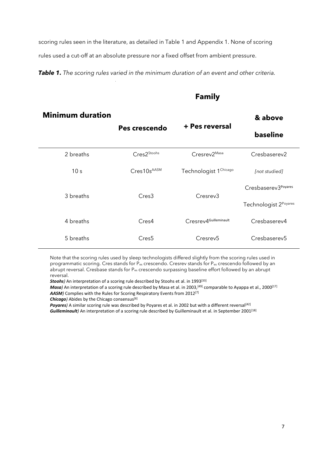scoring rules seen in the literature, as detailed in Table 1 and Appendix 1. None of scoring rules used a cut-off at an absolute pressure nor a fixed offset from ambient pressure.

*Table 1. The scoring rules varied in the minimum duration of an event and other criteria.*

#### **Family**

| <b>Minimum duration</b> |                         |                                   | & above               |  |
|-------------------------|-------------------------|-----------------------------------|-----------------------|--|
|                         | Pes crescendo           | + Pes reversal                    | baseline              |  |
| 2 breaths               | Cres2 <sup>Stoohs</sup> | Cresrev2 <sup>Masa</sup>          | Cresbaserev2          |  |
| 10 <sub>s</sub>         | Cres10sAASM             | Technologist 1 <sup>Chicago</sup> | [not studied]         |  |
|                         |                         |                                   | Cresbaserev3Poyares   |  |
| 3 breaths               | Cres <sub>3</sub>       | Cresrev <sub>3</sub>              | Technologist 2Poyares |  |
| 4 breaths               | Cres4                   | Cresrev4Guilleminault             | Cresbaserev4          |  |
| 5 breaths               | Cres <sub>5</sub>       | Cresrev <sub>5</sub>              | Cresbaserev5          |  |

Note that the scoring rules used by sleep technologists differed slightly from the scoring rules used in programmatic scoring. Cres stands for Pes crescendo. Cresrev stands for Pes crescendo followed by an abrupt reversal. Cresbase stands for Pes crescendo surpassing baseline effort followed by an abrupt reversal.

**Stoohs**) An interpretation of a scoring rule described by Stoohs et al. in 1993<sup>[33]</sup>

*Masa*) An interpretation of a scoring rule described by Masa et al. in 2003,<sup>[49]</sup> comparable to Ayappa et al., 2000<sup>[17]</sup> *AASM)* Complies with the Rules for Scoring Respiratory Events from 2012[7]

*Chicago)* Abides by the Chicago consensus[6]

Poyares) A similar scoring rule was described by Poyares et al. in 2002 but with a different reversal<sup>[42]</sup> Guilleminault) An interpretation of a scoring rule described by Guilleminault et al. in September 2001<sup>[18]</sup>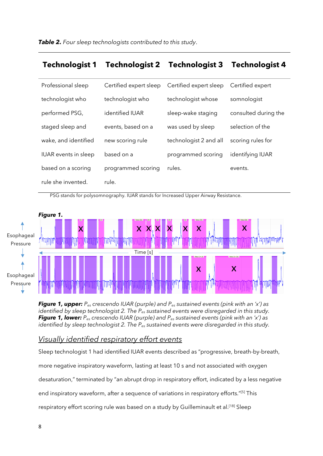#### **Technologist 1 Technologist 2 Technologist 3 Technologist 4**

| Professional sleep          | Certified expert sleep | Certified expert sleep | Certified expert     |
|-----------------------------|------------------------|------------------------|----------------------|
| technologist who            | technologist who       | technologist whose     | somnologist          |
| performed PSG,              | identified IUAR        | sleep-wake staging     | consulted during the |
| staged sleep and            | events, based on a     | was used by sleep      | selection of the     |
| wake, and identified        | new scoring rule       | technologist 2 and all | scoring rules for    |
| <b>IUAR</b> events in sleep | based on a             | programmed scoring     | identifying IUAR     |
| based on a scoring          | programmed scoring     | rules.                 | events.              |
| rule she invented.          | rule.                  |                        |                      |

PSG stands for polysomnography. IUAR stands for Increased Upper Airway Resistance.



*Figure 1, upper: Pes crescendo IUAR (purple) and Pes sustained events (pink with an 'x') as identified by sleep technologist 2. The Pes sustained events were disregarded in this study. Figure 1, lower: Pes crescendo IUAR (purple) and Pes sustained events (pink with an 'x') as identified by sleep technologist 2. The Pes sustained events were disregarded in this study.*

#### *Visually identified respiratory effort events*

Sleep technologist 1 had identified IUAR events described as "progressive, breath-by-breath, more negative inspiratory waveform, lasting at least 10 s and not associated with oxygen desaturation," terminated by "an abrupt drop in respiratory effort, indicated by a less negative end inspiratory waveform, after a sequence of variations in respiratory efforts."<sup>[5]</sup> This respiratory effort scoring rule was based on a study by Guilleminault et al.<sup>[18]</sup> Sleep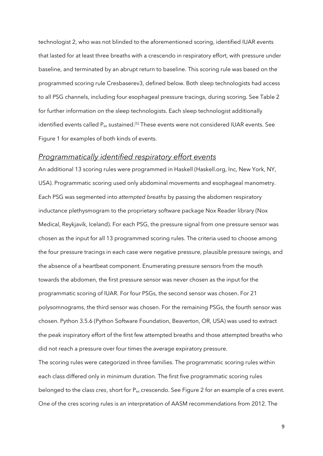technologist 2, who was not blinded to the aforementioned scoring, identified IUAR events that lasted for at least three breaths with a crescendo in respiratory effort, with pressure under baseline, and terminated by an abrupt return to baseline. This scoring rule was based on the programmed scoring rule Cresbaserev3, defined below. Both sleep technologists had access to all PSG channels, including four esophageal pressure tracings, during scoring. See Table 2 for further information on the sleep technologists. Each sleep technologist additionally identified events called P<sub>es</sub> sustained.<sup>[5]</sup> These events were not considered IUAR events. See Figure 1 for examples of both kinds of events.

#### *Programmatically identified respiratory effort events*

An additional 13 scoring rules were programmed in Haskell (Haskell.org, Inc, New York, NY, USA). Programmatic scoring used only abdominal movements and esophageal manometry. Each PSG was segmented into *attempted breaths* by passing the abdomen respiratory inductance plethysmogram to the proprietary software package Nox Reader library (Nox Medical, Reykjavík, Iceland). For each PSG, the pressure signal from one pressure sensor was chosen as the input for all 13 programmed scoring rules. The criteria used to choose among the four pressure tracings in each case were negative pressure, plausible pressure swings, and the absence of a heartbeat component. Enumerating pressure sensors from the mouth towards the abdomen, the first pressure sensor was never chosen as the input for the programmatic scoring of IUAR. For four PSGs, the second sensor was chosen. For 21 polysomnograms, the third sensor was chosen. For the remaining PSGs, the fourth sensor was chosen. Python 3.5.6 (Python Software Foundation, Beaverton, OR, USA) was used to extract the peak inspiratory effort of the first few attempted breaths and those attempted breaths who did not reach a pressure over four times the average expiratory pressure.

The scoring rules were categorized in three families. The programmatic scoring rules within each class differed only in minimum duration. The first five programmatic scoring rules belonged to the class *cres*, short for P<sub>es</sub> crescendo. See Figure 2 for an example of a cres event. One of the cres scoring rules is an interpretation of AASM recommendations from 2012. The

9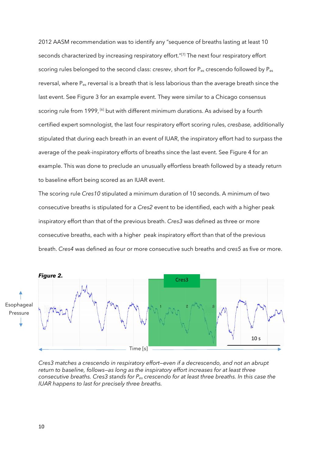2012 AASM recommendation was to identify any "sequence of breaths lasting at least 10 seconds characterized by increasing respiratory effort."[7] The next four respiratory effort scoring rules belonged to the second class: *cresrev*, short for Pes crescendo followed by Pes reversal, where P<sub>es</sub> reversal is a breath that is less laborious than the average breath since the last event. See Figure 3 for an example event. They were similar to a Chicago consensus scoring rule from 1999, <sup>[6]</sup> but with different minimum durations. As advised by a fourth certified expert somnologist, the last four respiratory effort scoring rules, *cresbase,* additionally stipulated that during each breath in an event of IUAR, the inspiratory effort had to surpass the average of the peak-inspiratory efforts of breaths since the last event. See Figure 4 for an example. This was done to preclude an unusually effortless breath followed by a steady return to baseline effort being scored as an IUAR event.

The scoring rule *Cres10* stipulated a minimum duration of 10 seconds. A minimum of two consecutive breaths is stipulated for a *Cres2* event to be identified, each with a higher peak inspiratory effort than that of the previous breath. *Cres3* was defined as three or more consecutive breaths, each with a higher peak inspiratory effort than that of the previous breath. *Cres4* was defined as four or more consecutive such breaths and c*res5* as five or more.



*Cres3 matches a crescendo in respiratory effort—even if a decrescendo, and not an abrupt return to baseline, follows—as long as the inspiratory effort increases for at least three consecutive breaths. Cres3 stands for Pes crescendo for at least three breaths. In this case the IUAR happens to last for precisely three breaths.*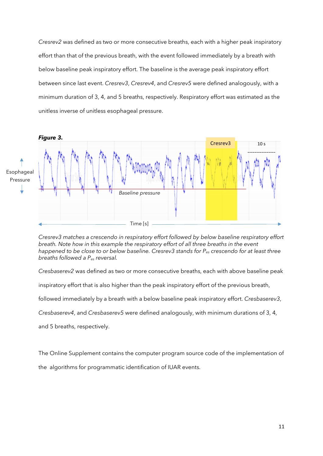*Cresrev2* was defined as two or more consecutive breaths, each with a higher peak inspiratory effort than that of the previous breath, with the event followed immediately by a breath with below baseline peak inspiratory effort. The baseline is the average peak inspiratory effort between since last event. *Cresrev3*, *Cresrev4*, and *Cresrev5* were defined analogously, with a minimum duration of 3, 4, and 5 breaths, respectively. Respiratory effort was estimated as the unitless inverse of unitless esophageal pressure.



*Cresrev3 matches a crescendo in respiratory effort followed by below baseline respiratory effort breath. Note how in this example the respiratory effort of all three breaths in the event happened to be close to or below baseline. Cresrev3 stands for Pes crescendo for at least three breaths followed a Pes reversal.*

*Cresbaserev2* was defined as two or more consecutive breaths, each with above baseline peak

inspiratory effort that is also higher than the peak inspiratory effort of the previous breath,

followed immediately by a breath with a below baseline peak inspiratory effort. *Cresbaserev3*,

*Cresbaserev4*, and *Cresbaserev5* were defined analogously, with minimum durations of 3, 4,

and 5 breaths, respectively.

The Online Supplement contains the computer program source code of the implementation of

the algorithms for programmatic identification of IUAR events.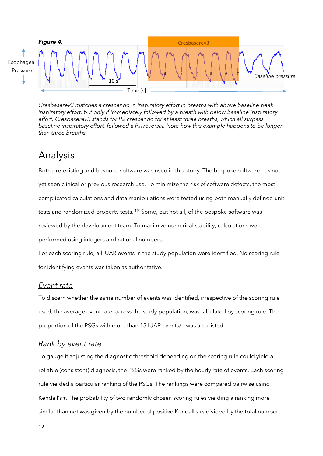

*Cresbaserev3 matches a crescendo in inspiratory effort in breaths with above baseline peak inspiratory effort, but only if immediately followed by a breath with below baseline inspiratory effort. Cresbaserev3 stands for Pes crescendo for at least three breaths, which all surpass baseline inspiratory effort, followed a Pes reversal. Note how this example happens to be longer than three breaths.*

### Analysis

Both pre-existing and bespoke software was used in this study. The bespoke software has not yet seen clinical or previous research use. To minimize the risk of software defects, the most complicated calculations and data manipulations were tested using both manually defined unit tests and randomized property tests.<sup>[19]</sup> Some, but not all, of the bespoke software was reviewed by the development team. To maximize numerical stability, calculations were performed using integers and rational numbers.

For each scoring rule, all IUAR events in the study population were identified. No scoring rule for identifying events was taken as authoritative.

#### *Event rate*

To discern whether the same number of events was identified, irrespective of the scoring rule used, the average event rate, across the study population, was tabulated by scoring rule. The proportion of the PSGs with more than 15 IUAR events/h was also listed.

#### *Rank by event rate*

To gauge if adjusting the diagnostic threshold depending on the scoring rule could yield a reliable (consistent) diagnosis, the PSGs were ranked by the hourly rate of events. Each scoring rule yielded a particular ranking of the PSGs. The rankings were compared pairwise using Kendall's τ. The probability of two randomly chosen scoring rules yielding a ranking more similar than not was given by the number of positive Kendall's τs divided by the total number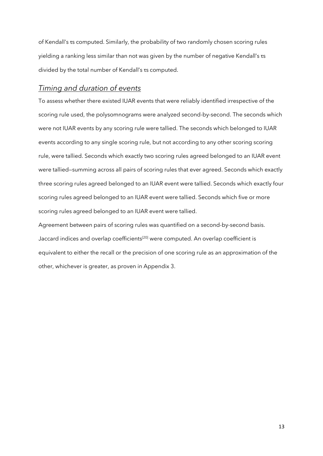of Kendall's τs computed. Similarly, the probability of two randomly chosen scoring rules yielding a ranking less similar than not was given by the number of negative Kendall's τs divided by the total number of Kendall's τs computed.

#### *Timing and duration of events*

To assess whether there existed IUAR events that were reliably identified irrespective of the scoring rule used, the polysomnograms were analyzed second-by-second. The seconds which were not IUAR events by any scoring rule were tallied. The seconds which belonged to IUAR events according to any single scoring rule, but not according to any other scoring scoring rule, were tallied. Seconds which exactly two scoring rules agreed belonged to an IUAR event were tallied—summing across all pairs of scoring rules that ever agreed. Seconds which exactly three scoring rules agreed belonged to an IUAR event were tallied. Seconds which exactly four scoring rules agreed belonged to an IUAR event were tallied. Seconds which five or more scoring rules agreed belonged to an IUAR event were tallied.

Agreement between pairs of scoring rules was quantified on a second-by-second basis. Jaccard indices and overlap coefficients<sup>[20]</sup> were computed. An overlap coefficient is equivalent to either the recall or the precision of one scoring rule as an approximation of the other, whichever is greater, as proven in Appendix 3.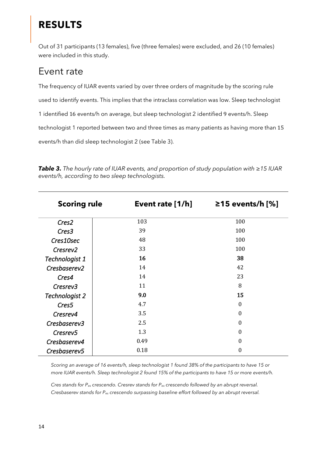# **RESULTS**

Out of 31 participants (13 females), five (three females) were excluded, and 26 (10 females) were included in this study.

### Event rate

The frequency of IUAR events varied by over three orders of magnitude by the scoring rule used to identify events. This implies that the intraclass correlation was low. Sleep technologist 1 identified 16 events/h on average, but sleep technologist 2 identified 9 events/h. Sleep technologist 1 reported between two and three times as many patients as having more than 15 events/h than did sleep technologist 2 (see Table 3).

| <b>Scoring rule</b>  | Event rate $[1/h]$ | $≥15$ events/h [%] |
|----------------------|--------------------|--------------------|
| Cres2                | 103                | 100                |
| Cres <sub>3</sub>    | 39                 | 100                |
| Cres10sec            | 48                 | 100                |
| Cresrev <sub>2</sub> | 33                 | 100                |
| Technologist 1       | 16                 | 38                 |
| Cresbaserev2         | 14                 | 42                 |
| Cres4                | 14                 | 23                 |
| Cresrev3             | 11                 | 8                  |
| Technologist 2       | 9.0                | 15                 |
| Cres <sub>5</sub>    | 4.7                | $\boldsymbol{0}$   |
| Cresrev4             | 3.5                | $\boldsymbol{0}$   |
| Cresbaserev3         | 2.5                | $\boldsymbol{0}$   |
| Cresrev <sub>5</sub> | 1.3                | $\boldsymbol{0}$   |
| Cresbaserev4         | 0.49               | $\boldsymbol{0}$   |
| Cresbaserev5         | 0.18               | $\boldsymbol{0}$   |

*Table 3. The hourly rate of IUAR events, and proportion of study population with ≥15 IUAR events/h, according to two sleep technologists.*

*Scoring an average of 16 events/h, sleep technologist 1 found 38% of the participants to have 15 or more IUAR events/h. Sleep technologist 2 found 15% of the participants to have 15 or more events/h.*

*Cres stands for Pes crescendo. Cresrev stands for Pes crescendo followed by an abrupt reversal. Cresbaserev stands for Pes crescendo surpassing baseline effort followed by an abrupt reversal.*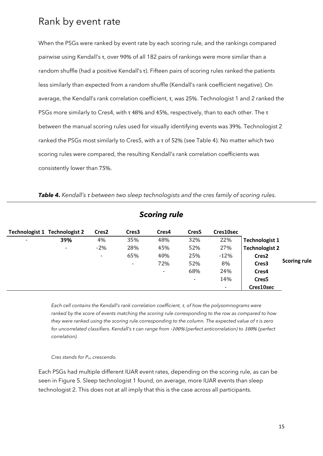### Rank by event rate

When the PSGs were ranked by event rate by each scoring rule, and the rankings compared pairwise using Kendall's τ, over 90% of all 182 pairs of rankings were more similar than a random shuffle (had a positive Kendall's τ). Fifteen pairs of scoring rules ranked the patients less similarly than expected from a random shuffle (Kendall's rank coefficient negative). On average, the Kendall's rank correlation coefficient, τ, was 25%. Technologist 1 and 2 ranked the PSGs more similarly to Cres4, with τ 48% and 45%, respectively, than to each other. The τ between the manual scoring rules used for visually identifying events was 39%. Technologist 2 ranked the PSGs most similarly to Cres5, with a τ of 52% (see Table 4). No matter which two scoring rules were compared, the resulting Kendall's rank correlation coefficients was consistently lower than 75%.

| Table 4. Kendall's t between two sleep technologists and the cres family of scoring rules. |  |  |  |  |  |
|--------------------------------------------------------------------------------------------|--|--|--|--|--|
|--------------------------------------------------------------------------------------------|--|--|--|--|--|

| <b>Scoring rule</b> |                                      |                          |                   |                |                          |                |                       |                     |
|---------------------|--------------------------------------|--------------------------|-------------------|----------------|--------------------------|----------------|-----------------------|---------------------|
|                     | <b>Technologist 1 Technologist 2</b> | Cres <sub>2</sub>        | Cres <sub>3</sub> | Cres4          | Cres <sub>5</sub>        | Cres10sec      |                       |                     |
| $\blacksquare$      | 39%                                  | 4%                       | 35%               | 48%            | 32%                      | 22%            | <b>Technologist 1</b> |                     |
|                     | $\overline{\phantom{a}}$             | $-2%$                    | 28%               | 45%            | 52%                      | 27%            | <b>Technologist 2</b> |                     |
|                     |                                      | $\overline{\phantom{a}}$ | 65%               | 40%            | 25%                      | $-12%$         | Cres <sub>2</sub>     |                     |
|                     |                                      |                          | $\blacksquare$    | 72%            | 52%                      | 8%             | Cres3                 | <b>Scoring rule</b> |
|                     |                                      |                          |                   | $\blacksquare$ | 68%                      | 24%            | Cres4                 |                     |
|                     |                                      |                          |                   |                | $\overline{\phantom{0}}$ | 14%            | Cres <sub>5</sub>     |                     |
|                     |                                      |                          |                   |                |                          | $\blacksquare$ | Cres10sec             |                     |

*Each cell contains the Kendall's rank correlation coefficient, τ, of how the polysomnograms were ranked by the score of events matching the scoring rule corresponding to the row as compared to how they were ranked using the scoring rule corresponding to the column. The expected value of τ is zero for uncorrelated classifiers. Kendall's τ can range from* -100% *(perfect anticorrelation) to* 100% *(perfect correlation).*

*Cres stands for Pes crescendo.*

Each PSGs had multiple different IUAR event rates, depending on the scoring rule, as can be seen in Figure 5. Sleep technologist 1 found, on average, more IUAR events than sleep technologist 2. This does not at all imply that this is the case across all participants.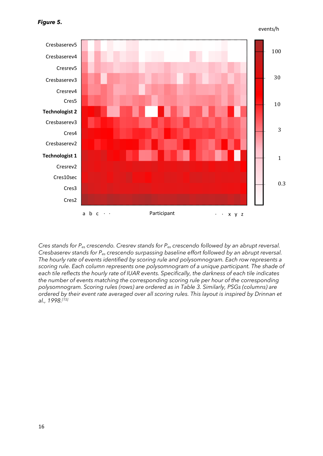```
events/h
```


*Cres stands for Pes crescendo. Cresrev stands for Pes crescendo followed by an abrupt reversal. Cresbaserev stands for Pes crescendo surpassing baseline effort followed by an abrupt reversal. The hourly rate of events identified by scoring rule and polysomnogram. Each row represents a scoring rule. Each column represents one polysomnogram of a unique participant. The shade of each tile reflects the hourly rate of IUAR events. Specifically, the darkness of each tile indicates the number of events matching the corresponding scoring rule per hour of the corresponding polysomnogram. Scoring rules (rows) are ordered as in Table 3. Similarly, PSGs (columns) are ordered by their event rate averaged over all scoring rules. This layout is inspired by Drinnan et al., 1998.[15]*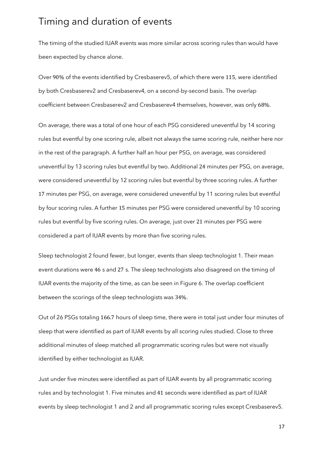### Timing and duration of events

The timing of the studied IUAR events was more similar across scoring rules than would have been expected by chance alone.

Over 90% of the events identified by Cresbaserev5, of which there were 115, were identified by both Cresbaserev2 and Cresbaserev4, on a second-by-second basis. The overlap coefficient between Cresbaserev2 and Cresbaserev4 themselves, however, was only 68%.

On average, there was a total of one hour of each PSG considered uneventful by 14 scoring rules but eventful by one scoring rule, albeit not always the same scoring rule, neither here nor in the rest of the paragraph. A further half an hour per PSG, on average, was considered uneventful by 13 scoring rules but eventful by two. Additional 24 minutes per PSG, on average, were considered uneventful by 12 scoring rules but eventful by three scoring rules. A further 17 minutes per PSG, on average, were considered uneventful by 11 scoring rules but eventful by four scoring rules. A further 15 minutes per PSG were considered uneventful by 10 scoring rules but eventful by five scoring rules. On average, just over 21 minutes per PSG were considered a part of IUAR events by more than five scoring rules.

Sleep technologist 2 found fewer, but longer, events than sleep technologist 1. Their mean event durations were 46 s and 27 s. The sleep technologists also disagreed on the timing of IUAR events the majority of the time, as can be seen in Figure 6. The overlap coefficient between the scorings of the sleep technologists was 34%.

Out of 26 PSGs totaling 166.7 hours of sleep time, there were in total just under four minutes of sleep that were identified as part of IUAR events by all scoring rules studied. Close to three additional minutes of sleep matched all programmatic scoring rules but were not visually identified by either technologist as IUAR.

Just under five minutes were identified as part of IUAR events by all programmatic scoring rules and by technologist 1. Five minutes and 41 seconds were identified as part of IUAR events by sleep technologist 1 and 2 and all programmatic scoring rules except Cresbaserev5.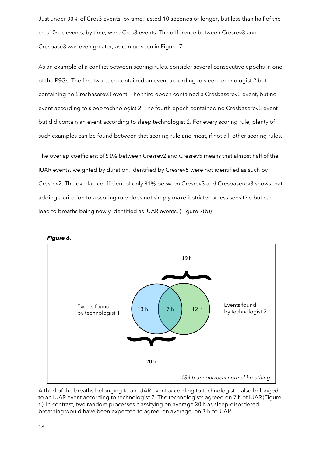Just under 90% of Cres3 events, by time, lasted 10 seconds or longer, but less than half of the cres10sec events, by time, were Cres3 events. The difference between Cresrev3 and Cresbase3 was even greater, as can be seen in Figure 7.

As an example of a conflict between scoring rules, consider several consecutive epochs in one of the PSGs. The first two each contained an event according to sleep technologist 2 but containing no Cresbaserev3 event. The third epoch contained a Cresbaserev3 event, but no event according to sleep technologist 2. The fourth epoch contained no Cresbaserev3 event but did contain an event according to sleep technologist 2. For every scoring rule, plenty of such examples can be found between that scoring rule and most, if not all, other scoring rules.

The overlap coefficient of 51% between Cresrev2 and Cresrev5 means that almost half of the IUAR events, weighted by duration, identified by Cresrev5 were not identified as such by Cresrev2. The overlap coefficient of only 81% between Cresrev3 and Cresbaserev3 shows that adding a criterion to a scoring rule does not simply make it stricter or less sensitive but can lead to breaths being newly identified as IUAR events. (Figure 7(b))



*Figure 6.*

A third of the breaths belonging to an IUAR event according to technologist 1 also belonged to an IUAR event according to technologist 2. The technologists agreed on 7 h of IUAR (Figure 6). In contrast, two random processes classifying on average 20 h as sleep-disordered breathing would have been expected to agree, on average, on 3 h of IUAR.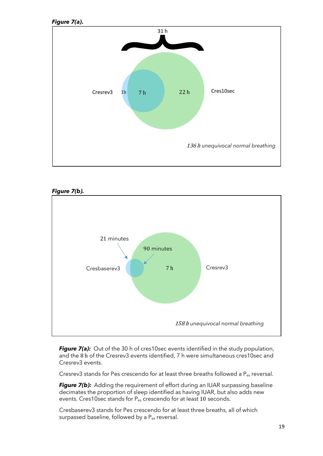





*Figure 7(a):* Out of the 30 h of cres10sec events identified in the study population, and the 8 h of the Cresrev3 events identified, 7 h were simultaneous cres10sec and Cresrev3 events.

Cresrev3 stands for Pes crescendo for at least three breaths followed a P<sub>es</sub> reversal.

**Figure 7(b):** Adding the requirement of effort during an IUAR surpassing baseline decimates the proportion of sleep identified as having IUAR, but also adds new events. Cres10sec stands for P<sub>es</sub> crescendo for at least 10 seconds.

Cresbaserev3 stands for Pes crescendo for at least three breaths, all of which surpassed baseline, followed by a P<sub>es</sub> reversal.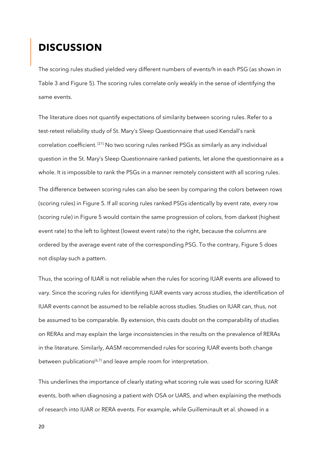### **DISCUSSION**

The scoring rules studied yielded very different numbers of events/h in each PSG (as shown in Table 3 and Figure 5). The scoring rules correlate only weakly in the sense of identifying the same events.

The literature does not quantify expectations of similarity between scoring rules. Refer to a test-retest reliability study of St. Mary's Sleep Questionnaire that used Kendall's rank correlation coefficient. [21] No two scoring rules ranked PSGs as similarly as any individual question in the St. Mary's Sleep Questionnaire ranked patients, let alone the questionnaire as a whole. It is impossible to rank the PSGs in a manner remotely consistent with all scoring rules. The difference between scoring rules can also be seen by comparing the colors between rows (scoring rules) in Figure 5. If all scoring rules ranked PSGs identically by event rate, every row (scoring rule) in Figure 5 would contain the same progression of colors, from darkest (highest event rate) to the left to lightest (lowest event rate) to the right, because the columns are ordered by the average event rate of the corresponding PSG. To the contrary, Figure 5 does not display such a pattern.

Thus, the scoring of IUAR is not reliable when the rules for scoring IUAR events are allowed to vary. Since the scoring rules for identifying IUAR events vary across studies, the identification of IUAR events cannot be assumed to be reliable across studies. Studies on IUAR can, thus, not be assumed to be comparable. By extension, this casts doubt on the comparability of studies on RERAs and may explain the large inconsistencies in the results on the prevalence of RERAs in the literature. Similarly, AASM recommended rules for scoring IUAR events both change between publications<sup>[6,7]</sup> and leave ample room for interpretation.

This underlines the importance of clearly stating what scoring rule was used for scoring IUAR events, both when diagnosing a patient with OSA or UARS, and when explaining the methods of research into IUAR or RERA events. For example, while Guilleminault et al. showed in a

20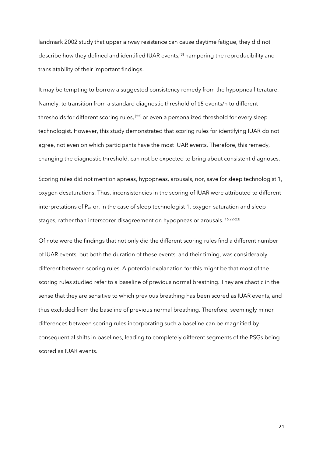landmark 2002 study that upper airway resistance can cause daytime fatigue, they did not describe how they defined and identified IUAR events,<sup>[3]</sup> hampering the reproducibility and translatability of their important findings.

It may be tempting to borrow a suggested consistency remedy from the hypopnea literature. Namely, to transition from a standard diagnostic threshold of 15 events/h to different thresholds for different scoring rules, [22] or even a personalized threshold for every sleep technologist. However, this study demonstrated that scoring rules for identifying IUAR do not agree, not even on which participants have the most IUAR events. Therefore, this remedy, changing the diagnostic threshold, can not be expected to bring about consistent diagnoses.

Scoring rules did not mention apneas, hypopneas, arousals, nor, save for sleep technologist 1, oxygen desaturations. Thus, inconsistencies in the scoring of IUAR were attributed to different interpretations of Pes or, in the case of sleep technologist 1, oxygen saturation and sleep stages, rather than interscorer disagreement on hypopneas or arousals. [16,22–23]

Of note were the findings that not only did the different scoring rules find a different number of IUAR events, but both the duration of these events, and their timing, was considerably different between scoring rules. A potential explanation for this might be that most of the scoring rules studied refer to a baseline of previous normal breathing. They are chaotic in the sense that they are sensitive to which previous breathing has been scored as IUAR events, and thus excluded from the baseline of previous normal breathing. Therefore, seemingly minor differences between scoring rules incorporating such a baseline can be magnified by consequential shifts in baselines, leading to completely different segments of the PSGs being scored as IUAR events.

21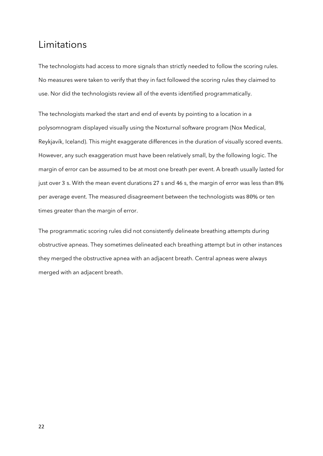### Limitations

The technologists had access to more signals than strictly needed to follow the scoring rules. No measures were taken to verify that they in fact followed the scoring rules they claimed to use. Nor did the technologists review all of the events identified programmatically.

The technologists marked the start and end of events by pointing to a location in a polysomnogram displayed visually using the Noxturnal software program (Nox Medical, Reykjavík, Iceland). This might exaggerate differences in the duration of visually scored events. However, any such exaggeration must have been relatively small, by the following logic. The margin of error can be assumed to be at most one breath per event. A breath usually lasted for just over 3 s. With the mean event durations 27 s and 46 s, the margin of error was less than 8% per average event. The measured disagreement between the technologists was 80% or ten times greater than the margin of error.

The programmatic scoring rules did not consistently delineate breathing attempts during obstructive apneas. They sometimes delineated each breathing attempt but in other instances they merged the obstructive apnea with an adjacent breath. Central apneas were always merged with an adjacent breath.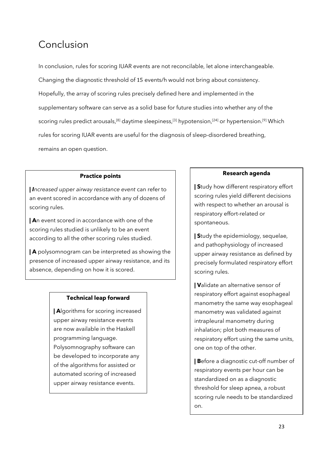# Conclusion

In conclusion, rules for scoring IUAR events are not reconcilable, let alone interchangeable. Changing the diagnostic threshold of 15 events/h would not bring about consistency. Hopefully, the array of scoring rules precisely defined here and implemented in the supplementary software can serve as a solid base for future studies into whether any of the scoring rules predict arousals,<sup>[8]</sup> daytime sleepiness,<sup>[3]</sup> hypotension,<sup>[24]</sup> or hypertension.<sup>[9]</sup> Which rules for scoring IUAR events are useful for the diagnosis of sleep-disordered breathing, remains an open question.

#### **Practice points**

**|** *Increased upper airway resistance event* can refer to an event scored in accordance with any of dozens of scoring rules.

**| A**n event scored in accordance with one of the scoring rules studied is unlikely to be an event according to all the other scoring rules studied.

**| A** polysomnogram can be interpreted as showing the presence of increased upper airway resistance, and its absence, depending on how it is scored.

#### **Technical leap forward**

**| A**lgorithms for scoring increased upper airway resistance events are now available in the Haskell programming language. Polysomnography software can be developed to incorporate any of the algorithms for assisted or automated scoring of increased upper airway resistance events.

#### **Research agenda**

**| S**tudy how different respiratory effort scoring rules yield different decisions with respect to whether an arousal is respiratory effort-related or spontaneous.

**| S**tudy the epidemiology, sequelae, and pathophysiology of increased upper airway resistance as defined by precisely formulated respiratory effort scoring rules.

**| V**alidate an alternative sensor of respiratory effort against esophageal manometry the same way esophageal manometry was validated against intrapleural manometry during inhalation; plot both measures of respiratory effort using the same units, one on top of the other.

**| B**efore a diagnostic cut-off number of respiratory events per hour can be standardized on as a diagnostic threshold for sleep apnea, a robust scoring rule needs to be standardized on.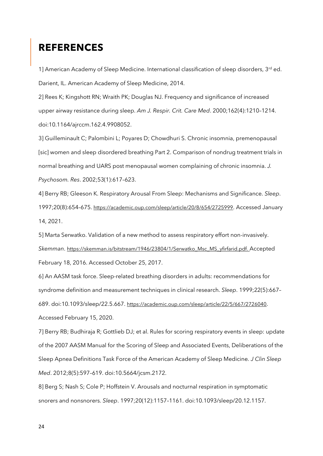### **REFERENCES**

1] American Academy of Sleep Medicine. International classification of sleep disorders, 3rd ed. Darient, IL. American Academy of Sleep Medicine, 2014.

2] Rees K; Kingshott RN; Wraith PK; Douglas NJ. Frequency and significance of increased upper airway resistance during sleep. *Am J. Respir. Crit. Care Med*. 2000;162(4):1210–1214. doi:10.1164/ajrccm.162.4.9908052.

3] Guilleminault C; Palombini L; Poyares D; Chowdhuri S. Chronic insomnia, premenopausal [sic] women and sleep disordered breathing Part 2. Comparison of nondrug treatment trials in normal breathing and UARS post menopausal women complaining of chronic insomnia. *J. Psychosom. Res*. 2002;53(1):617–623.

4] Berry RB; Gleeson K. Respiratory Arousal From Sleep: Mechanisms and Significance. *Sleep*. 1997;20(8):654–675. https://academic.oup.com/sleep/article/20/8/654/2725999. Accessed January 14, 2021.

5] Marta Serwatko. Validation of a new method to assess respiratory effort non-invasively. *Skemman*. https://skemman.is/bitstream/1946/23804/1/Serwatko\_Msc\_MS\_yfirfarid.pdf. Accepted February 18, 2016. Accessed October 25, 2017.

6] An AASM task force. Sleep-related breathing disorders in adults: recommendations for syndrome definition and measurement techniques in clinical research. *Sleep*. 1999;22(5):667– 689. doi:10.1093/sleep/22.5.667. <https://academic.oup.com/sleep/article/22/5/667/2726040>. Accessed February 15, 2020.

7] Berry RB; Budhiraja R; Gottlieb DJ; et al. Rules for scoring respiratory events in sleep: update of the 2007 AASM Manual for the Scoring of Sleep and Associated Events, Deliberations of the Sleep Apnea Definitions Task Force of the American Academy of Sleep Medicine*. J Clin Sleep Med*. 2012;8(5):597–619. doi:10.5664/jcsm.2172.

8] Berg S; Nash S; Cole P; Hoffstein V. Arousals and nocturnal respiration in symptomatic snorers and nonsnorers. *Sleep*. 1997;20(12):1157–1161. doi:10.1093/sleep/20.12.1157.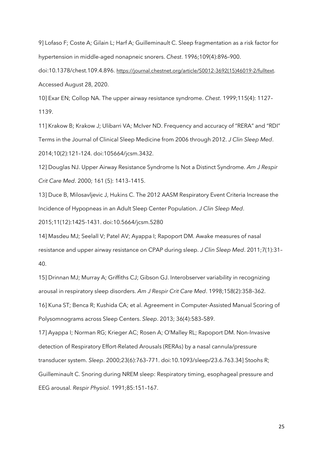9] Lofaso F; Coste A; Gilain L; Harf A; Guilleminault C. Sleep fragmentation as a risk factor for hypertension in middle-aged nonapneic snorers. *Chest*. 1996;109(4):896–900.

doi:10.1378/chest.109.4.896. [https://journal.chestnet.org/article/S0012-3692\(15\)46019-2/fulltext](https://journal.chestnet.org/article/S0012-3692(15)46019-2/fulltext). Accessed August 28, 2020.

10] Exar EN; Collop NA. The upper airway resistance syndrome. *Chest*. 1999;115(4): 1127– 1139.

11] Krakow B; Krakow J; Ulibarri VA; McIver ND. Frequency and accuracy of "RERA" and "RDI" Terms in the Journal of Clinical Sleep Medicine from 2006 through 2012. *J Clin Sleep Med*. 2014;10(2):121–124. doi:105664/jcsm.3432.

12] Douglas NJ. Upper Airway Resistance Syndrome Is Not a Distinct Syndrome. *Am J Respir Crit Care Med*. 2000; 161 (5): 1413–1415.

13] Duce B, Milosavljevic J, Hukins C. The 2012 AASM Respiratory Event Criteria Increase the Incidence of Hypopneas in an Adult Sleep Center Population. *J Clin Sleep Med*. 2015;11(12):1425-1431. doi:10.5664/jcsm.5280

14] Masdeu MJ; Seelall V; Patel AV; Ayappa I; Rapoport DM. Awake measures of nasal resistance and upper airway resistance on CPAP during sleep. *J Clin Sleep Med*. 2011;7(1):31– 40.

15] Drinnan MJ; Murray A; Griffiths CJ; Gibson GJ. Interobserver variability in recognizing arousal in respiratory sleep disorders. *Am J Respir Crit Care Med*. 1998;158(2):358–362.

16] Kuna ST; Benca R; Kushida CA; et al. Agreement in Computer-Assisted Manual Scoring of Polysomnograms across Sleep Centers. *Sleep*. 2013; 36(4):583–589.

17] Ayappa I; Norman RG; Krieger AC; Rosen A; O'Malley RL; Rapoport DM. Non-Invasive detection of Respiratory Effort-Related Arousals (RERAs) by a nasal cannula/pressure transducer system. *Sleep*. 2000;23(6):763–771. doi:10.1093/sleep/23.6.763.34] Stoohs R; Guilleminault C. Snoring during NREM sleep: Respiratory timing, esophageal pressure and EEG arousal. *Respir Physiol*. 1991;85:151–167.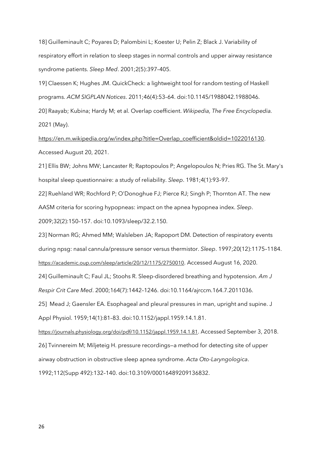18] Guilleminault C; Poyares D; Palombini L; Koester U; Pelin Z; Black J. Variability of respiratory effort in relation to sleep stages in normal controls and upper airway resistance syndrome patients. *Sleep Med*. 2001;2(5):397–405.

19] Claessen K; Hughes JM. QuickCheck: a lightweight tool for random testing of Haskell programs. *ACM SIGPLAN Notices*. 2011;46(4):53–64. doi:10.1145/1988042.1988046.

20] Raayab; Kubina; Hardy M; et al. Overlap coefficient. *Wikipedia, The Free Encyclopedia.* 2021 (May).

https://en.m.wikipedia.org/w/index.php?title=Overlap\_coefficient&oldid=1022016130. Accessed August 20, 2021.

21] Ellis BW; Johns MW; Lancaster R; Raptopoulos P; Angelopoulos N; Pries RG. The St. Mary's hospital sleep questionnaire: a study of reliability. *Sleep*. 1981;4(1):93–97.

22] Ruehland WR; Rochford P; O'Donoghue FJ; Pierce RJ; Singh P; Thornton AT. The new AASM criteria for scoring hypopneas: impact on the apnea hypopnea index. *Sleep*. 2009;32(2):150–157. doi:10.1093/sleep/32.2.150.

23] Norman RG; Ahmed MM; Walsleben JA; Rapoport DM. Detection of respiratory events during npsg: nasal cannula/pressure sensor versus thermistor. *Sleep*. 1997;20(12):1175–1184. <https://academic.oup.com/sleep/article/20/12/1175/2750010>. Accessed August 16, 2020.

24] Guilleminault C; Faul JL; Stoohs R. Sleep-disordered breathing and hypotension*. Am J Respir Crit Care Med*. 2000;164(7):1442–1246. doi:10.1164/ajrccm.164.7.2011036.

25] Mead J; Gaensler EA. Esophageal and pleural pressures in man, upright and supine. J Appl Physiol. 1959;14(1):81–83. doi:10.1152/jappl.1959.14.1.81.

<https://journals.physiology.org/doi/pdf/10.1152/jappl.1959.14.1.81>. Accessed September 3, 2018. 26] Tvinnereim M; Miljeteig H. pressure recordings—a method for detecting site of upper airway obstruction in obstructive sleep apnea syndrome. *Acta Oto-Laryngologica*. 1992;112(Supp 492):132–140. doi:10.3109/00016489209136832.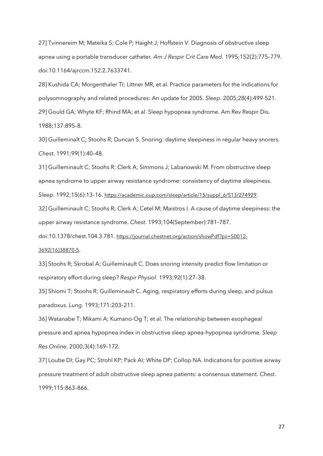27] Tvinnereim M; Mateika S; Cole P; Haight J; Hoffstein V. Diagnosis of obstructive sleep apnea using a portable transducer catheter*. Am J Respir Crit Care Med.* 1995;152(2):775–779. doi:10.1164/ajrccm.152.2.7633741.

28] Kushida CA; Morgenthaler TI; Littner MR, et al. Practice parameters for the indications for polysomnography and related procedures: An update for 2005. *Sleep*. 2005;28(4):499-521. 29] Gould GA; Whyte KF; Rhind MA; et al. Sleep hypopnea syndrome. Am Rev Respir Dis. 1988;137:895–8.

30] Guilleminalt C; Stoohs R; Duncan S. Snoring: daytime sleepiness in regular heavy snorers. *Chest*. 1991;99(1):40–48.

31] Guilleminault C; Stoohs R; Clerk A; Simmons J; Labanowski M. From obstructive sleep apnea syndrome to upper airway resistance syndrome: consistency of daytime sleepiness.

*Sleep*. 1992;15(6):13–16. [https://academic.oup.com/sleep/article/15/suppl\\_6/S13/274929](https://academic.oup.com/sleep/article/15/suppl_6/S13/274929).

32] Guilleminault C; Stoohs R; Clerk A; Cetel M; Maistros I. A cause of daytime sleepiness: the upper airway resistance syndrome. *Chest*. 1993;104(September):781–787.

doi:10.1378/chest.104.3.781. [https://journal.chestnet.org/action/showPdf?pii=S0012-](https://journal.chestnet.org/action/showPdf?pii=S0012-3692(16)38870-5) [3692\(16\)38870-5](https://journal.chestnet.org/action/showPdf?pii=S0012-3692(16)38870-5).

33] Stoohs R; Skrobal A; Guilleminault C. Does snoring intensity predict flow limitation or respiratory effort during sleep? *Respir Physiol*. 1993;92(1):27–38.

35] Shiomi T; Stoohs R; Guilleminault C. Aging, respiratory efforts during sleep, and pulsus paradoxus. *Lung*. 1993;171:203–211.

36] Watanabe T; Mikami A; Kumano-Og T; et al. The relationship between esophageal pressure and apnea hypopnea index in obstructive sleep apnea-hypopnea syndrome. *Sleep Res Online*. 2000;3(4):169–172.

37] Loube DI; Gay PC; Strohl KP; Pack AI; White DP; Collop NA. Indications for positive airway pressure treatment of adult obstructive sleep apnea patients: a consensus statement. *Chest*. 1999;115:863–866.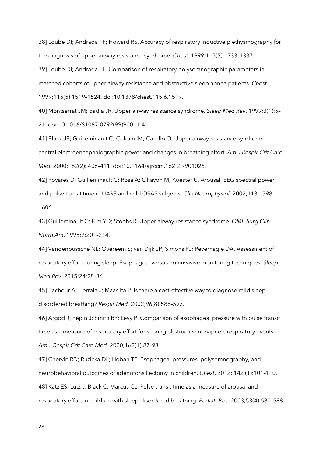38] Loube DI; Andrada TF; Howard RS. Accuracy of respiratory inductive plethysmography for the diagnosis of upper airway resistance syndrome. *Chest*. 1999;115(5):1333–1337.

39] Loube DI; Andrada TF. Comparison of respiratory polysomnographic parameters in matched cohorts of upper airway resistance and obstructive sleep apnea patients. *Chest*. 1999;115(5):1519–1524. doi:10.1378/chest.115.6.1519.

40] Montserrat JM; Badia JR. Upper airway resistance syndrome. *Sleep Med Rev*. 1999;3(1):5– 21. doi:10.1016/S1087-0792(99)90011-4.

41] Black JE; Guilleminault C; Colrain IM; Carrillo O. Upper airway resistance syndrome: central electroencephalographic power and changes in breathing effort. *Am J Respir Crit Care Med.* 2000;162(2): 406–411. doi:10.1164/ajrccm.162.2.9901026.

42] Poyares D; Guilleminault C; Rosa A; Ohayon M; Koester U. Arousal, EEG spectral power and pulse transit time in UARS and mild OSAS subjects. *Clin Neurophysiol*. 2002;113:1598– 1606.

43] Guilleminault C; Kim YD; Stoohs R. Upper airway resistance syndrome. *OMF Surg Clin North Am*. 1995;7:201–214.

44] Vandenbussche NL; Overeem S; van Dijk JP; Simons PJ; Pevernagie DA. Assessment of respiratory effort during sleep: Esophageal versus noninvasive monitoring techniques. *Sleep Med Rev*. 2015;24:28–36.

45] Bachour A; Herrala J; Maasilta P. Is there a cost-effective way to diagnose mild sleepdisordered breathing? *Respir Med.* 2002;96(8):586–593.

46] Argod J; Pépin J; Smith RP; Lévy P. Comparison of esophageal pressure with pulse transit time as a measure of respiratory effort for scoring obstructive nonapneic respiratory events. *Am J Respir Crit Care Med*. 2000;162(1):87–93.

47] Chervin RD; Ruzicka DL; Hoban TF. Esophageal pressures, polysomnography, and neurobehavioral outcomes of adenotonsillectomy in children. *Chest*. 2012; 142 (1):101–110. 48] Katz ES, Lutz J, Black C, Marcus CL. Pulse transit time as a measure of arousal and respiratory effort in children with sleep-disordered breathing. *Pediatr Res*. 2003;53(4):580–588.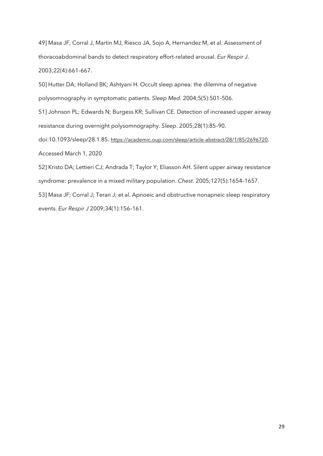49] Masa JF, Corral J, Martin MJ, Riesco JA, Sojo A, Hernandez M, et al. Assessment of thoracoabdominal bands to detect respiratory effort-related arousal. *Eur Respir J*. 2003;22(4):661–667.

50] Hutter DA; Holland BK; Ashtyani H. Occult sleep apnea: the dilemma of negative polysomnography in symptomatic patients. *Sleep Med*. 2004;5(5):501–506.

51] Johnson PL; Edwards N; Burgess KR; Sullivan CE. Detection of increased upper airway resistance during overnight polysomnography. *Sleep*. 2005;28(1):85–90.

doi:10.1093/sleep/28.1.85. <https://academic.oup.com/sleep/article-abstract/28/1/85/2696720>. Accessed March 1, 2020

52] Kristo DA; Lettieri CJ; Andrada T; Taylor Y; Eliasson AH. Silent upper airway resistance syndrome: prevalence in a mixed military population. *Chest*. 2005;127(5):1654–1657.

53] Masa JF; Corral J; Teran J; et al. Apnoeic and obstructive nonapneic sleep respiratory events. *Eur Respir J* 2009;34(1):156–161.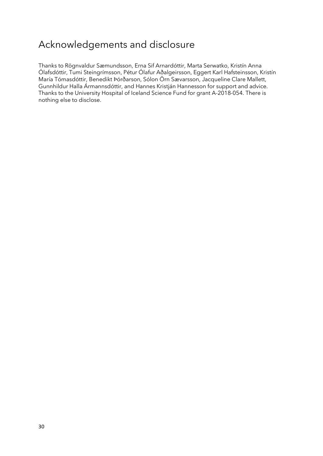# Acknowledgements and disclosure

Thanks to Rögnvaldur Sæmundsson, Erna Sif Arnardóttir, Marta Serwatko, Kristín Anna Ólafsdóttir, Tumi Steingrímsson, Pétur Ólafur Aðalgeirsson, Eggert Karl Hafsteinsson, Kristín María Tómasdóttir, Benedikt Þórðarson, Sólon Örn Sævarsson, Jacqueline Clare Mallett, Gunnhildur Halla Ármannsdóttir, and Hannes Kristján Hannesson for support and advice. Thanks to the University Hospital of Iceland Science Fund for grant A-2018-054. There is nothing else to disclose.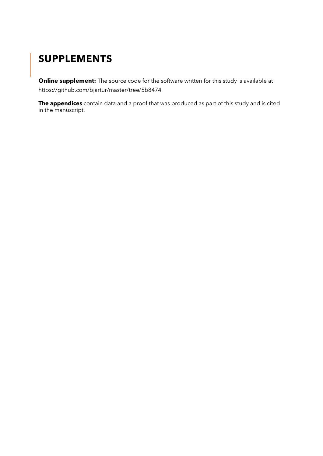# **SUPPLEMENTS**

**Online supplement:** The source code for the software written for this study is available at https://github.com/bjartur/master/tree/5b8474

**The appendices** contain data and a proof that was produced as part of this study and is cited in the manuscript.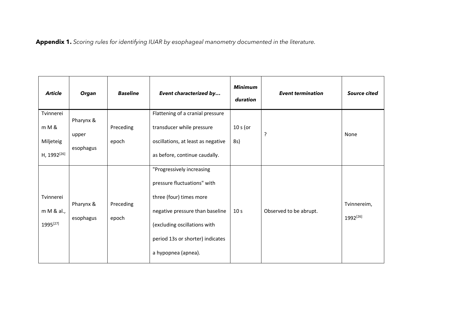**Appendix 1.** *Scoring rules for identifying IUAR by esophageal manometry documented in the literature.*

| <b>Article</b>          | Organ     | <b>Baseline</b> | Event characterized by             | <b>Minimum</b><br>duration | <b>Event termination</b> | <b>Source cited</b> |
|-------------------------|-----------|-----------------|------------------------------------|----------------------------|--------------------------|---------------------|
| Tvinnerei               | Pharynx & |                 | Flattening of a cranial pressure   |                            |                          |                     |
| m M &                   | upper     | Preceding       | transducer while pressure          | $10 s$ (or                 | ?                        | None                |
| Miljeteig               | esophagus | epoch           | oscillations, at least as negative | 8s)                        |                          |                     |
| H, 1992 <sup>[26]</sup> |           |                 | as before, continue caudally.      |                            |                          |                     |
|                         |           |                 | "Progressively increasing          |                            |                          |                     |
|                         |           |                 | pressure fluctuations" with        |                            |                          |                     |
| Tvinnerei               | Pharynx & | Preceding       | three (four) times more            |                            |                          | Tvinnereim,         |
| m M & al.,              | esophagus | epoch           | negative pressure than baseline    | 10 <sub>s</sub>            | Observed to be abrupt.   | 1992[26]            |
| 1995[27]                |           |                 | (excluding oscillations with       |                            |                          |                     |
|                         |           |                 | period 13s or shorter) indicates   |                            |                          |                     |
|                         |           |                 | a hypopnea (apnea).                |                            |                          |                     |
|                         |           |                 |                                    |                            |                          |                     |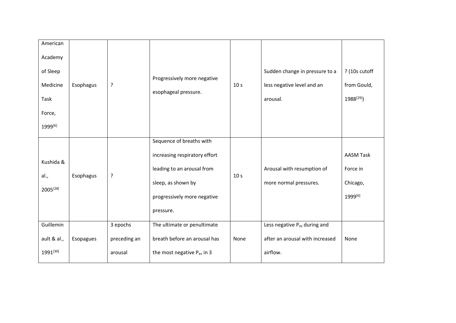| American<br>Academy<br>of Sleep<br>Medicine<br>Task<br>Force,<br>1999[6] | Esophagus | ?                                   | Progressively more negative<br>esophageal pressure.                                                                                                       | 10 <sub>s</sub> | Sudden change in pressure to a<br>less negative level and an<br>arousal.                | ? (10s cutoff<br>from Gould,<br>1988 <sup>[29]</sup> ) |
|--------------------------------------------------------------------------|-----------|-------------------------------------|-----------------------------------------------------------------------------------------------------------------------------------------------------------|-----------------|-----------------------------------------------------------------------------------------|--------------------------------------------------------|
| Kushida &<br>al.,<br>2005[28]                                            | Esophagus | ?                                   | Sequence of breaths with<br>increasing respiratory effort<br>leading to an arousal from<br>sleep, as shown by<br>progressively more negative<br>pressure. | 10 <sub>s</sub> | Arousal with resumption of<br>more normal pressures.                                    | <b>AASM Task</b><br>Force in<br>Chicago,<br>1999[6]    |
| Guillemin<br>ault & al.,<br>1991[30]                                     | Esopagues | 3 epochs<br>preceding an<br>arousal | The ultimate or penultimate<br>breath before an arousal has<br>the most negative P <sub>es</sub> in 3                                                     | None            | Less negative P <sub>es</sub> during and<br>after an arousal with increased<br>airflow. | None                                                   |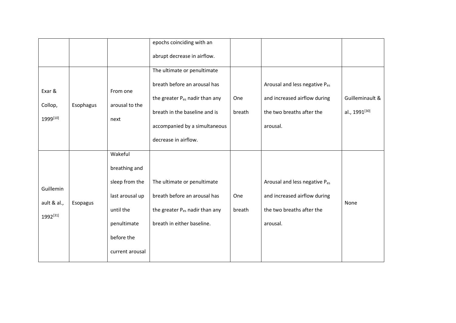|                                      |           |                                                                                                                            | epochs coinciding with an                                                                                                                                                   |                      |                                                                                                        |                                  |
|--------------------------------------|-----------|----------------------------------------------------------------------------------------------------------------------------|-----------------------------------------------------------------------------------------------------------------------------------------------------------------------------|----------------------|--------------------------------------------------------------------------------------------------------|----------------------------------|
|                                      |           |                                                                                                                            | abrupt decrease in airflow.                                                                                                                                                 |                      |                                                                                                        |                                  |
| Exar &<br>Collop,<br>1999[10]        | Esophagus | From one<br>arousal to the<br>next                                                                                         | The ultimate or penultimate<br>breath before an arousal has<br>the greater P <sub>es</sub> nadir than any<br>breath in the baseline and is<br>accompanied by a simultaneous | <b>One</b><br>breath | Arousal and less negative Pes<br>and increased airflow during<br>the two breaths after the<br>arousal. | Guilleminault &<br>al., 1991[30] |
|                                      |           |                                                                                                                            | decrease in airflow.                                                                                                                                                        |                      |                                                                                                        |                                  |
| Guillemin<br>ault & al.,<br>1992[31] | Esopagus  | Wakeful<br>breathing and<br>sleep from the<br>last arousal up<br>until the<br>penultimate<br>before the<br>current arousal | The ultimate or penultimate<br>breath before an arousal has<br>the greater P <sub>es</sub> nadir than any<br>breath in either baseline.                                     | One<br>breath        | Arousal and less negative Pes<br>and increased airflow during<br>the two breaths after the<br>arousal. | None                             |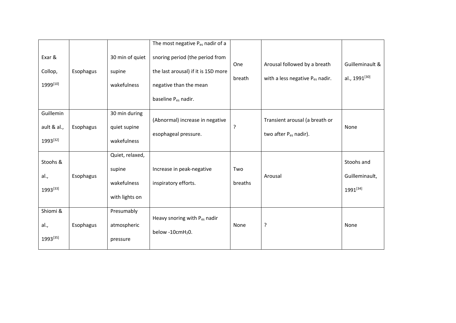|             |           |                 | The most negative P <sub>es</sub> nadir of a |         |                                   |                           |
|-------------|-----------|-----------------|----------------------------------------------|---------|-----------------------------------|---------------------------|
| Exar &      |           | 30 min of quiet | snoring period (the period from              | One     | Arousal followed by a breath      | Guilleminault &           |
| Collop,     | Esophagus | supine          | the last arousal) if it is 1SD more          | breath  | with a less negative Pes nadir.   | al., 1991 <sup>[30]</sup> |
| 1999[10]    |           | wakefulness     | negative than the mean                       |         |                                   |                           |
|             |           |                 | baseline P <sub>es</sub> nadir.              |         |                                   |                           |
| Guillemin   |           | 30 min during   | (Abnormal) increase in negative              |         | Transient arousal (a breath or    |                           |
| ault & al., | Esophagus | quiet supine    |                                              | ?       |                                   | None                      |
| 1993[32]    |           | wakefulness     | esophageal pressure.                         |         | two after P <sub>es</sub> nadir). |                           |
| Stoohs &    |           | Quiet, relaxed, |                                              |         |                                   | Stoohs and                |
|             |           | supine          | Increase in peak-negative                    | Two     |                                   |                           |
| al.,        | Esophagus | wakefulness     | inspiratory efforts.                         | breaths | Arousal                           | Guilleminault,            |
| 1993[33]    |           |                 |                                              |         |                                   | 1991[34]                  |
|             |           | with lights on  |                                              |         |                                   |                           |
| Shiomi &    |           | Presumably      | Heavy snoring with P <sub>es</sub> nadir     |         |                                   |                           |
| al.,        | Esophagus | atmospheric     |                                              | None    | ?                                 | None                      |
| 1993[35]    |           | pressure        | below -10 $cmH20$ .                          |         |                                   |                           |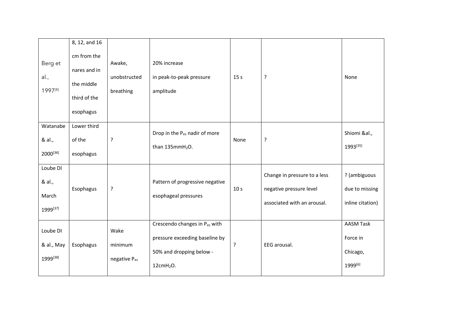|                                         | 8, 12, and 16                                                          |                                     |                                                                                                                      |                 |                                                                                        |                                                     |
|-----------------------------------------|------------------------------------------------------------------------|-------------------------------------|----------------------------------------------------------------------------------------------------------------------|-----------------|----------------------------------------------------------------------------------------|-----------------------------------------------------|
| Berg et<br>al.,<br>1997[8]              | cm from the<br>nares and in<br>the middle<br>third of the<br>esophagus | Awake,<br>unobstructed<br>breathing | 20% increase<br>in peak-to-peak pressure<br>amplitude                                                                | 15 <sub>s</sub> | ?                                                                                      | None                                                |
| Watanabe<br>& al.,<br>2000[36]          | Lower third<br>of the<br>esophagus                                     | $\cdot$                             | Drop in the P <sub>es</sub> nadir of more<br>than $135mmH2O$ .                                                       | None            | ?                                                                                      | Shiomi &al.,<br>1993[35]                            |
| Loube DI<br>& al.,<br>March<br>1999[37] | Esophagus                                                              | ?                                   | Pattern of progressive negative<br>esophageal pressures                                                              | 10 <sub>s</sub> | Change in pressure to a less<br>negative pressure level<br>associated with an arousal. | ? (ambiguous<br>due to missing<br>inline citation)  |
| Loube DI<br>& al., May<br>1999[38]      | Esophagus                                                              | Wake<br>minimum<br>negative Pes     | Crescendo changes in Pes with<br>pressure exceeding baseline by<br>50% and dropping below -<br>12cmH <sub>2</sub> O. | ?               | EEG arousal.                                                                           | <b>AASM Task</b><br>Force in<br>Chicago,<br>1999[6] |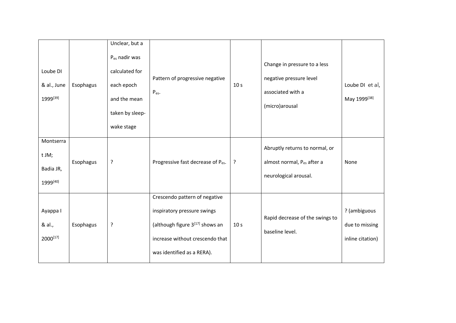| Loube DI<br>& al., June<br>1999[39]         | Esophagus | Unclear, but a<br>$P_{es}$ nadir was<br>calculated for<br>each epoch<br>and the mean<br>taken by sleep-<br>wake stage | Pattern of progressive negative<br>$P_{es}$ .                                                                                                                    | 10 <sub>s</sub> | Change in pressure to a less<br>negative pressure level<br>associated with a<br>(micro)arousal | Loube DI et al,<br>May 1999[38]                    |
|---------------------------------------------|-----------|-----------------------------------------------------------------------------------------------------------------------|------------------------------------------------------------------------------------------------------------------------------------------------------------------|-----------------|------------------------------------------------------------------------------------------------|----------------------------------------------------|
| Montserra<br>t JM;<br>Badia JR,<br>1999[40] | Esophagus | ?                                                                                                                     | Progressive fast decrease of P <sub>es</sub> .                                                                                                                   | ?               | Abruptly returns to normal, or<br>almost normal, Pes after a<br>neurological arousal.          | None                                               |
| Ayappa I<br>& al.,<br>2000[17]              | Esophagus | ?                                                                                                                     | Crescendo pattern of negative<br>inspiratory pressure swings<br>(although figure 3[17] shows an<br>increase without crescendo that<br>was identified as a RERA). | 10 <sub>s</sub> | Rapid decrease of the swings to<br>baseline level.                                             | ? (ambiguous<br>due to missing<br>inline citation) |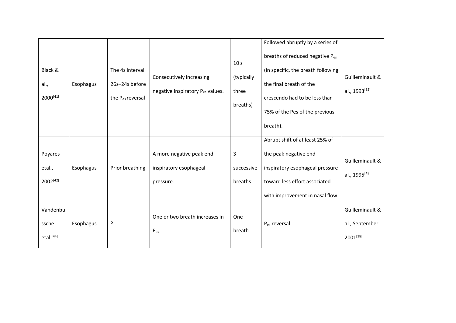|                       |           |                              |                                  |                 | Followed abruptly by a series of   |                           |
|-----------------------|-----------|------------------------------|----------------------------------|-----------------|------------------------------------|---------------------------|
|                       |           |                              |                                  | 10 <sub>s</sub> | breaths of reduced negative Pes    |                           |
| Black &               |           | The 4s interval              | Consecutively increasing         | (typically      | (in specific, the breath following | Guilleminault &           |
| al.,                  | Esophagus | 26s-24s before               |                                  |                 | the final breath of the            |                           |
| 2000[41]              |           | the P <sub>es</sub> reversal | negative inspiratory Pes values. | three           | crescendo had to be less than      | al., 1993 <sup>[32]</sup> |
|                       |           |                              |                                  | breaths)        | 75% of the Pes of the previous     |                           |
|                       |           |                              |                                  |                 | breath).                           |                           |
|                       |           |                              |                                  |                 | Abrupt shift of at least 25% of    |                           |
| Poyares               |           |                              | A more negative peak end         | 3               | the peak negative end              | Guilleminault &           |
| etal.,                | Esophagus | Prior breathing              | inspiratory esophageal           | successive      | inspiratory esophageal pressure    |                           |
| 2002[42]              |           |                              | pressure.                        | breaths         | toward less effort associated      | al., 1995 <sup>[43]</sup> |
|                       |           |                              |                                  |                 | with improvement in nasal flow.    |                           |
| Vandenbu              |           |                              | One or two breath increases in   | One             |                                    | Guilleminault &           |
| ssche                 | Esophagus | ?                            | P <sub>es</sub> .                | breath          | P <sub>es</sub> reversal           | al., September            |
| etal. <sup>[44]</sup> |           |                              |                                  |                 |                                    | 2001[18]                  |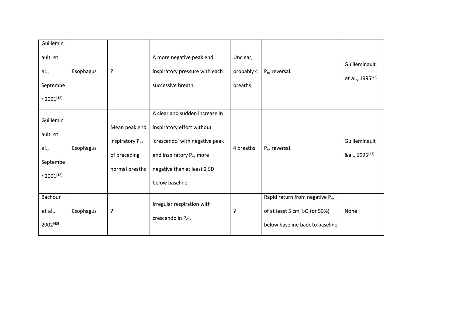| Guillemin<br>ault et<br>al.,<br>Septembe<br>r 2001[18] | Esophagus | ?                                                                              | A more negative peak end<br>inspiratory pressure with each<br>successive breath.                                                                                             | Unclear;<br>probably 4<br>breaths | P <sub>es</sub> reversal.                                                                                                   | Guilleminault<br>et al., 1995 <sup>[43]</sup> |
|--------------------------------------------------------|-----------|--------------------------------------------------------------------------------|------------------------------------------------------------------------------------------------------------------------------------------------------------------------------|-----------------------------------|-----------------------------------------------------------------------------------------------------------------------------|-----------------------------------------------|
| Guillemin<br>ault et<br>al.,<br>Septembe<br>r 2001[18] | Esophagus | Mean peak end<br>inspiratory P <sub>es</sub><br>of preceding<br>normal breaths | A clear and sudden increase in<br>inspiratory effort without<br>'crescendo' with negative peak<br>end inspiratory Pes more<br>negative than at least 2 SD<br>below baseline. | 4 breaths                         | P <sub>es</sub> reversal.                                                                                                   | Guilleminault<br>&al., 1995 <sup>[43]</sup>   |
| Bachour<br>et al.,<br>2002[45]                         | Esophagus | ?                                                                              | Irregular respiration with<br>crescendo in P <sub>es</sub> .                                                                                                                 | ?                                 | Rapid return from negative P <sub>es</sub><br>of at least 5 cmH <sub>2</sub> O (or 50%)<br>below baseline back to baseline. | None                                          |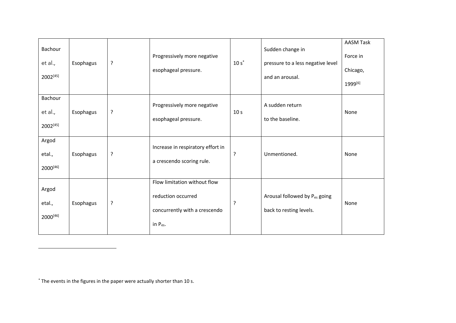| Bachour<br>et al.,<br>2002[45]   | Esophagus | ? | Progressively more negative<br>esophageal pressure.                                                  | $10s^*$         | Sudden change in<br>pressure to a less negative level<br>and an arousal. | <b>AASM Task</b><br>Force in<br>Chicago,<br>1999 <sup>[6]</sup> |
|----------------------------------|-----------|---|------------------------------------------------------------------------------------------------------|-----------------|--------------------------------------------------------------------------|-----------------------------------------------------------------|
| Bachour<br>et al.,<br>2002[45]   | Esophagus | ? | Progressively more negative<br>esophageal pressure.                                                  | 10 <sub>s</sub> | A sudden return<br>to the baseline.                                      | None                                                            |
| Argod<br>etal.,<br>2000[46]      | Esophagus | ? | Increase in respiratory effort in<br>a crescendo scoring rule.                                       | ?               | Unmentioned.                                                             | None                                                            |
| Argod<br>etal.,<br>$2000^{[46]}$ | Esophagus | ? | Flow limitation without flow<br>reduction occurred<br>concurrently with a crescendo<br>in $P_{es}$ . | ?               | Arousal followed by Pes going<br>back to resting levels.                 | None                                                            |

\* The events in the figures in the paper were actually shorter than 10 s.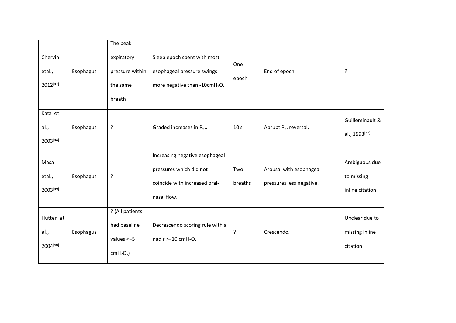| Chervin<br>etal.,<br>2012[47]    | Esophagus | The peak<br>expiratory<br>pressure within<br>the same         | Sleep epoch spent with most<br>esophageal pressure swings<br>more negative than -10cmH <sub>2</sub> O.    | One<br>epoch    | End of epoch.                                       | ?                                              |
|----------------------------------|-----------|---------------------------------------------------------------|-----------------------------------------------------------------------------------------------------------|-----------------|-----------------------------------------------------|------------------------------------------------|
|                                  |           | breath                                                        |                                                                                                           |                 |                                                     |                                                |
| Katz et<br>al.,<br>$2003^{[48]}$ | Esophagus | ?                                                             | Graded increases in Pes.                                                                                  | 10 <sub>s</sub> | Abrupt P <sub>es</sub> reversal.                    | Guilleminault &<br>al., 1993 <sup>[32]</sup>   |
| Masa<br>etal.,<br>2003[49]       | Esophagus | ?                                                             | Increasing negative esophageal<br>pressures which did not<br>coincide with increased oral-<br>nasal flow. | Two<br>breaths  | Arousal with esophageal<br>pressures less negative. | Ambiguous due<br>to missing<br>inline citation |
| Hutter et<br>al.,<br>2004[50]    | Esophagus | ? (All patients<br>had baseline<br>values $<-5$<br>$cmH2O.$ ) | Decrescendo scoring rule with a<br>nadir $> -10$ cmH <sub>2</sub> O.                                      | ?               | Crescendo.                                          | Unclear due to<br>missing inline<br>citation   |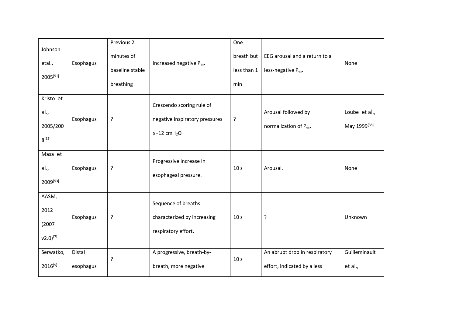| Johnson<br>etal.,<br>$2005^{[51]}$               | Esophagus           | Previous 2<br>minutes of<br>baseline stable<br>breathing | Increased negative P <sub>es</sub> .                                                         | One<br>breath but<br>less than 1<br>min | EEG arousal and a return to a<br>less-negative P <sub>es</sub> . | None                          |
|--------------------------------------------------|---------------------|----------------------------------------------------------|----------------------------------------------------------------------------------------------|-----------------------------------------|------------------------------------------------------------------|-------------------------------|
| Kristo et<br>al.,<br>2005/200<br>$8^{[52]}$      | Esophagus           | ?                                                        | Crescendo scoring rule of<br>negative inspiratory pressures<br>$\leq -12$ cmH <sub>2</sub> O | ?                                       | Arousal followed by<br>normalization of P <sub>es</sub> .        | Loube et al.,<br>May 1999[38] |
| Masa et<br>al.,<br>2009[53]                      | Esophagus           | ?                                                        | Progressive increase in<br>esophageal pressure.                                              | 10 <sub>s</sub>                         | Arousal.                                                         | None                          |
| AASM,<br>2012<br>(2007)<br>$v2.0$ <sup>[7]</sup> | Esophagus           | $\cdot$                                                  | Sequence of breaths<br>characterized by increasing<br>respiratory effort.                    | 10 <sub>s</sub>                         | ?                                                                | Unknown                       |
| Serwatko,<br>$2016^{[5]}$                        | Distal<br>esophagus | ?                                                        | A progressive, breath-by-<br>breath, more negative                                           | 10 <sub>s</sub>                         | An abrupt drop in respiratory<br>effort, indicated by a less     | Guilleminault<br>et al.,      |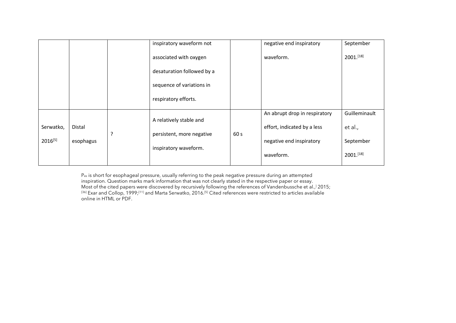|              |                                                                                                           |  | inspiratory waveform not   |                             | negative end inspiratory      | September     |
|--------------|-----------------------------------------------------------------------------------------------------------|--|----------------------------|-----------------------------|-------------------------------|---------------|
|              |                                                                                                           |  | associated with oxygen     |                             | waveform.                     | 2001.[18]     |
|              |                                                                                                           |  | desaturation followed by a |                             |                               |               |
|              |                                                                                                           |  | sequence of variations in  |                             |                               |               |
|              |                                                                                                           |  | respiratory efforts.       |                             |                               |               |
|              |                                                                                                           |  |                            |                             | An abrupt drop in respiratory | Guilleminault |
| Serwatko,    | A relatively stable and<br>Distal<br>?<br>persistent, more negative<br>esophagus<br>inspiratory waveform. |  | 60 <sub>s</sub>            | effort, indicated by a less | et al.,                       |               |
| $2016^{[5]}$ |                                                                                                           |  |                            | negative end inspiratory    | September                     |               |
|              |                                                                                                           |  |                            |                             | waveform.                     | 2001.[18]     |

P<sub>es</sub> is short for esophageal pressure, usually referring to the peak negative pressure during an attempted inspiration. Question marks mark information that was not clearly stated in the respective paper or essay. Most of the cited papers were discovered by recursively following the references of Vandenbussche et al., ] 2015;  $^{[36]}$  Exar and Collop, 1999;<sup>[11]</sup> and Marta Serwatko, 2016.<sup>[5]</sup> Cited references were restricted to articles available online in HTML or PDF.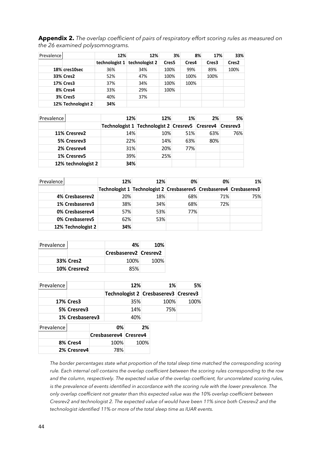**Appendix 2.** *The overlap coefficient of pairs of respiratory effort scoring rules as measured on the 26 examined polysomnograms.* 

| <b>Prevalence</b> |                    | 12% | 12%                             | 3%                | 8%    | 17%               | 33%               |
|-------------------|--------------------|-----|---------------------------------|-------------------|-------|-------------------|-------------------|
|                   |                    |     | technologist 1   technologist 2 | Cres <sub>5</sub> | Cres4 | Cres <sub>3</sub> | Cres <sub>2</sub> |
|                   | 18% cres10sec      | 36% | 34%                             | 100%              | 99%   | 89%               | 100%              |
|                   | 33% Cres2          | 52% | 47%                             | 100%              | 100%  | 100%              |                   |
|                   | <b>17% Cres3</b>   | 37% | 34%                             | 100%              | 100%  |                   |                   |
|                   | 8% Cres4           | 33% | 29%                             | 100%              |       |                   |                   |
|                   | 3% Cres5           | 40% | 37%                             |                   |       |                   |                   |
|                   | 12% Technologist 2 | 34% |                                 |                   |       |                   |                   |

| Prevalence |                    | 12% | 12%                                                              | 1%  | 2%  | 5%  |
|------------|--------------------|-----|------------------------------------------------------------------|-----|-----|-----|
|            |                    |     | Technologist 1   Technologist 2   Cresrev5   Cresrev4   Cresrev3 |     |     |     |
|            | 11% Cresrev2       | 14% | 10%                                                              | 51% | 63% | 76% |
|            | 5% Cresrev3        | 22% | 14%                                                              | 63% | 80% |     |
|            | 2% Cresrev4        | 31% | 20%                                                              | 77% |     |     |
|            | 1% Cresrev5        | 39% | 25%                                                              |     |     |     |
|            | 12% technologist 2 | 34% |                                                                  |     |     |     |

| Prevalence |                    | 12% | 12%                                                                  | 0%  | 0%  | $1\%$ |
|------------|--------------------|-----|----------------------------------------------------------------------|-----|-----|-------|
|            |                    |     | Technologist 1 Technologist 2 Cresbaserev5 Cresbaserev4 Cresbaserev3 |     |     |       |
|            | 4% Cresbaserev2    | 20% | 18%                                                                  | 68% | 71% | 75%   |
|            | 1% Cresbaserev3    | 38% | 34%                                                                  | 68% | 72% |       |
|            | 0% Cresbaserev4    | 57% | 53%                                                                  | 77% |     |       |
|            | 0% Cresbaserev5    | 62% | 53%                                                                  |     |     |       |
|            | 12% Technologist 2 | 34% |                                                                      |     |     |       |

| Prevalence |                  | 4%                      | 10%  |
|------------|------------------|-------------------------|------|
|            |                  | Cresbaserev2   Cresrev2 |      |
|            | <b>33% Cres2</b> | 100%                    | 100% |
|            | 10% Cresrev2     | 85%                     |      |

| Prevalence |                  |                 |                       | 12% |      | 1%                                   | 5%   |
|------------|------------------|-----------------|-----------------------|-----|------|--------------------------------------|------|
|            |                  |                 |                       |     |      | Technologist 2 Cresbaserev3 Cresrev3 |      |
|            | <b>17% Cres3</b> |                 | 35%                   |     |      | 100%                                 | 100% |
|            | 5% Cresrev3      |                 |                       | 14% |      | 75%                                  |      |
|            |                  | 1% Cresbaserev3 |                       | 40% |      |                                      |      |
| Prevalence |                  |                 | 0%                    |     | 2%   |                                      |      |
|            |                  |                 | Cresbaserev4 Cresrev4 |     |      |                                      |      |
|            | 8% Cres4         |                 | 100%                  |     | 100% |                                      |      |
|            | 2% Cresrev4      |                 | 78%                   |     |      |                                      |      |

*The border percentages state what proportion of the total sleep time matched the corresponding scoring rule. Each internal cell contains the overlap coefficient between the scoring rules corresponding to the row and the column, respectively. The expected value of the overlap coefficient, for uncorrelated scoring rules, is the prevalence of events identified in accordance with the scoring rule with the lower prevalence. The only overlap coefficient not greater than this expected value was the 10% overlap coefficient between Cresrev2 and technologist 2. The expected value of would have been 11% since both Cresrev2 and the technologist identified 11% or more of the total sleep time as IUAR events.*